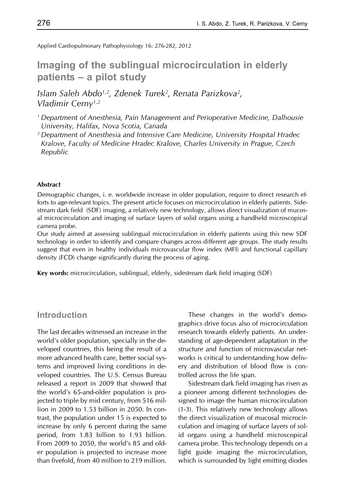Applied Cardiopulmonary Pathophysiology 16: 276-282, 2012

# **Imaging of the sublingual microcirculation in elderly patients – a pilot study**

*Islam Saleh Abdo1,2, Zdenek Turek2, Renata Parizkova2, Vladimir Cerny1,2*

- *1 Department of Anesthesia, Pain Management and Perioperative Medicine, Dalhousie University, Halifax, Nova Scotia, Canada*
- *2 Department of Anesthesia and Intensive Care Medicine, University Hospital Hradec Kralove, Faculty of Medicine Hradec Kralove, Charles University in Prague, Czech Republic*

#### **Abstract**

Demographic changes, i. e. worldwide increase in older population, require to direct research efforts to age-relevant topics. The present article focuses on microcirculation in elderly patients. Sidestream dark field (SDF) imaging, a relatively new technology, allows direct visualization of mucosal microcirculation and imaging of surface layers of solid organs using a handheld microscopical camera probe.

Our study aimed at assessing sublingual microcirculation in elderly patients using this new SDF technology in order to identify and compare changes across different age groups. The study results suggest that even in healthy individuals microvascular flow index (MFI) and functional capillary density (FCD) change significantly during the process of aging.

**Key words:** microcirculation, sublingual, elderly, sidestream dark field imaging (SDF)

### **Introduction**

The last decades witnessed an increase in the world's older population, specially in the developed countries, this being the result of a more advanced health care, better social systems and improved living conditions in developed countries. The U.S. Census Bureau released a report in 2009 that showed that the world's 65-and-older population is projected to triple by mid century, from 516 million in 2009 to 1.53 billion in 2050. In contrast, the population under 15 is expected to increase by only 6 percent during the same period, from 1.83 billion to 1.93 billion. From 2009 to 2050, the world's 85 and older population is projected to increase more than fivefold, from 40 million to 219 million.

These changes in the world's demographics drive focus also of microcirculation research towards elderly patients. An understanding of age-dependent adaptation in the structure and function of microvascular networks is critical to understanding how delivery and distribution of blood flow is controlled across the life span.

Sidestream dark field imaging has risen as a pioneer among different technologies designed to image the human microcirculation (1-3). This relatively new technology allows the direct visualization of mucosal microcirculation and imaging of surface layers of solid organs using a handheld microscopical camera probe. This technology depends on a light guide imaging the microcirculation, which is surrounded by light emitting diodes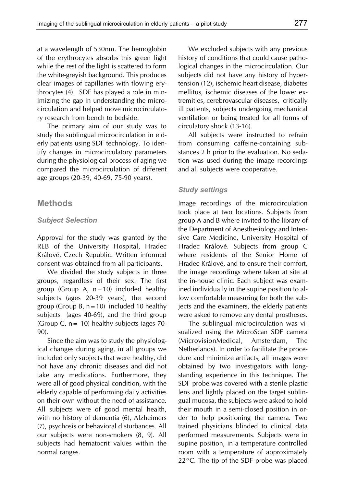at a wavelength of 530nm. The hemoglobin of the erythrocytes absorbs this green light while the rest of the light is scattered to form the white-greyish background. This produces clear images of capillaries with flowing erythrocytes (4). SDF has played a role in minimizing the gap in understanding the microcirculation and helped move microcirculatory research from bench to bedside.

The primary aim of our study was to study the sublingual microcirculation in elderly patients using SDF technology. To identify changes in microcirculatory parameters during the physiological process of aging we compared the microcirculation of different age groups (20-39, 40-69, 75-90 years).

#### **Methods**

#### *Subject Selection*

Approval for the study was granted by the REB of the University Hospital, Hradec Králové, Czech Republic. Written informed consent was obtained from all participants.

We divided the study subjects in three groups, regardless of their sex. The first group (Group A,  $n=10$ ) included healthy subjects (ages 20-39 years), the second group (Group B,  $n=10$ ) included 10 healthy subjects (ages 40-69), and the third group (Group C,  $n = 10$ ) healthy subjects (ages 70-90).

Since the aim was to study the physiological changes during aging, in all groups we included only subjects that were healthy, did not have any chronic diseases and did not take any medications. Furthermore, they were all of good physical condition, with the elderly capable of performing daily activities on their own without the need of assistance. All subjects were of good mental health, with no history of dementia (6), Alzheimers (7), psychosis or behavioral disturbances. All our subjects were non-smokers (8, 9). All subjects had hematocrit values within the normal ranges.

We excluded subjects with any previous history of conditions that could cause pathological changes in the microcirculation. Our subjects did not have any history of hypertension (12), ischemic heart disease, diabetes mellitus, ischemic diseases of the lower extremities, cerebrovascular diseases, critically ill patients, subjects undergoing mechanical ventilation or being treated for all forms of circulatory shock (13-16).

All subjects were instructed to refrain from consuming caffeine-containing substances 2 h prior to the evaluation. No sedation was used during the image recordings and all subjects were cooperative.

#### *Study settings*

Image recordings of the microcirculation took place at two locations. Subjects from group A and B where invited to the library of the Department of Anesthesiology and Intensive Care Medicine, University Hospital of Hradec Králové. Subjects from group C where residents of the Senior Home of Hradec Králové, and to ensure their comfort, the image recordings where taken at site at the in-house clinic. Each subject was examined individually in the supine position to allow comfortable measuring for both the subjects and the examiners, the elderly patients were asked to remove any dental prostheses.

The sublingual microcirculation was visualized using the MicroScan SDF camera (MicrovisionMedical, Amsterdam, The Netherlands). In order to facilitate the procedure and minimize artifacts, all images were obtained by two investigators with longstanding experience in this technique. The SDF probe was covered with a sterile plastic lens and lightly placed on the target sublingual mucosa, the subjects were asked to hold their mouth in a semi-closed position in order to help positioning the camera. Two trained physicians blinded to clinical data performed measurements. Subjects were in supine position, in a temperature controlled room with a temperature of approximately 22°C. The tip of the SDF probe was placed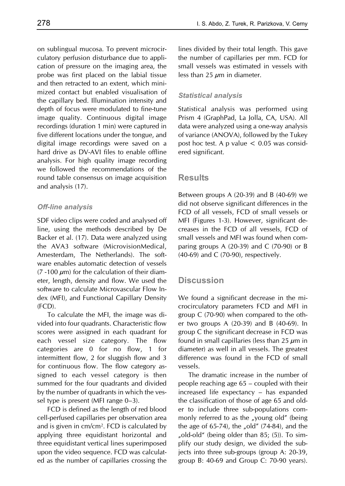on sublingual mucosa. To prevent microcirculatory perfusion disturbance due to application of pressure on the imaging area, the probe was first placed on the labial tissue and then retracted to an extent, which minimized contact but enabled visualisation of the capillary bed. Illumination intensity and depth of focus were modulated to fine-tune image quality. Continuous digital image recordings (duration 1 min) were captured in five different locations under the tongue, and digital image recordings were saved on a hard drive as DV-AVI files to enable offline analysis. For high quality image recording we followed the recommendations of the round table consensus on image acquisition and analysis (17).

#### *Off-line analysis*

SDF video clips were coded and analysed off line, using the methods described by De Backer et al. (17). Data were analyzed using the AVA3 software (MicrovisionMedical, Amesterdam, The Netherlands). The software enables automatic detection of vessels (7 -100  $\mu$ m) for the calculation of their diameter, length, density and flow. We used the software to calculate Microvascular Flow Index (MFI), and Functional Capillary Density (FCD).

To calculate the MFI, the image was divided into four quadrants. Characteristic flow scores were assigned in each quadrant for each vessel size category. The flow categories are 0 for no flow, 1 for intermittent flow, 2 for sluggish flow and 3 for continuous flow. The flow category assigned to each vessel category is then summed for the four quadrants and divided by the number of quadrants in which the vessel type is present (MFI range 0–3).

FCD is defined as the length of red blood cell-perfused capillaries per observation area and is given in cm/cm2. FCD is calculated by applying three equidistant horizontal and three equidistant vertical lines superimposed upon the video sequence. FCD was calculated as the number of capillaries crossing the lines divided by their total length. This gave the number of capillaries per mm. FCD for small vessels was estimated in vessels with less than 25  $\mu$ m in diameter.

#### *Statistical analysis*

Statistical analysis was performed using Prism 4 (GraphPad, La Jolla, CA, USA). All data were analyzed using a one-way analysis of variance (ANOVA), followed by the Tukey post hoc test. A p value  $< 0.05$  was considered significant.

### **Results**

Between groups A (20-39) and B (40-69) we did not observe significant differences in the FCD of all vessels, FCD of small vessels or MFI (Figures 1-3). However, significant decreases in the FCD of all vessels, FCD of small vessels and MFI was found when comparing groups A (20-39) and C (70-90) or B (40-69) and C (70-90), respectively.

### **Discussion**

We found a significant decrease in the microcirculatory parameters FCD and MFI in group C (70-90) when compared to the other two groups A (20-39) and B (40-69). In group C the significant decrease in FCD was found in small capillaries (less than  $25 \mu m$  in diameter) as well in all vessels. The greatest difference was found in the FCD of small vessels.

The dramatic increase in the number of people reaching age 65 – coupled with their increased life expectancy – has expanded the classification of those of age 65 and older to include three sub-populations commonly referred to as the "young old" (being the age of  $65-74$ ), the "old"  $(74-84)$ , and the "old-old" (being older than 85; (5)). To simplify our study design, we divided the subjects into three sub-groups (group A: 20-39, group B: 40-69 and Group C: 70-90 years).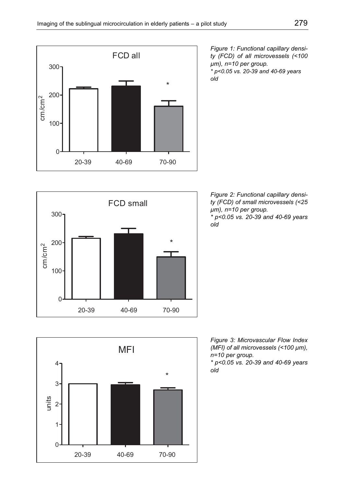

*Figure 1: Functional capillary density (FCD) of all microvessels (<100 µm), n=10 per group. \* p<0.05 vs. 20-39 and 40-69 years old*







*\* p<0.05 vs. 20-39 and 40-69 years old*

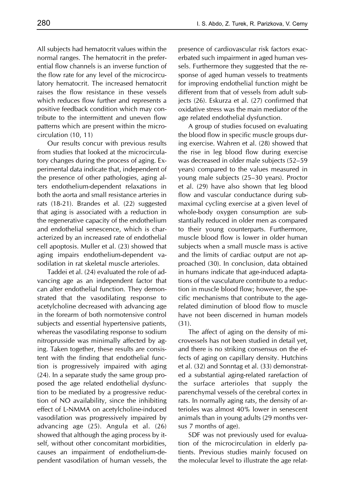All subjects had hematocrit values within the normal ranges. The hematocrit in the preferential flow channels is an inverse function of the flow rate for any level of the microcirculatory hematocrit. The increased hematocrit raises the flow resistance in these vessels which reduces flow further and represents a positive feedback condition which may contribute to the intermittent and uneven flow patterns which are present within the microcirculation (10, 11)

Our results concur with previous results from studies that looked at the microcirculatory changes during the process of aging. Experimental data indicate that, independent of the presence of other pathologies, aging alters endothelium-dependent relaxations in both the aorta and small resistance arteries in rats (18-21). Brandes et al. (22) suggested that aging is associated with a reduction in the regenerative capacity of the endothelium and endothelial senescence, which is characterized by an increased rate of endothelial cell apoptosis. Muller et al. (23) showed that aging impairs endothelium-dependent vasodilation in rat skeletal muscle arterioles.

Taddei et al. (24) evaluated the role of advancing age as an independent factor that can alter endothelial function. They demonstrated that the vasodilating response to acetylcholine decreased with advancing age in the forearm of both normotensive control subjects and essential hypertensive patients, whereas the vasodilating response to sodium nitroprusside was minimally affected by aging. Taken together, these results are consistent with the finding that endothelial function is progressively impaired with aging (24). In a separate study the same group proposed the age related endothelial dysfunction to be mediated by a progressive reduction of NO availability, since the inhibiting effect of L-NMMA on acetylcholine-induced vasodilation was progressively impaired by advancing age (25). Angula et al. (26) showed that although the aging process by itself, without other concomitant morbidities, causes an impairment of endothelium-dependent vasodilation of human vessels, the presence of cardiovascular risk factors exacerbated such impairment in aged human vessels. Furthermore they suggested that the response of aged human vessels to treatments for improving endothelial function might be different from that of vessels from adult subjects (26). Eskurza et al. (27) confirmed that oxidative stress was the main mediator of the age related endothelial dysfunction.

A group of studies focused on evaluating the blood flow in specific muscle groups during exercise. Wahren et al. (28) showed that the rise in leg blood flow during exercise was decreased in older male subjects (52–59 years) compared to the values measured in young male subjects (25–30 years). Proctor et al. (29) have also shown that leg blood flow and vascular conductance during submaximal cycling exercise at a given level of whole-body oxygen consumption are substantially reduced in older men as compared to their young counterparts. Furthermore, muscle blood flow is lower in older human subjects when a small muscle mass is active and the limits of cardiac output are not approached (30). In conclusion, data obtained in humans indicate that age-induced adaptations of the vasculature contribute to a reduction in muscle blood flow; however, the specific mechanisms that contribute to the agerelated diminution of blood flow to muscle have not been discerned in human models (31).

The affect of aging on the density of microvessels has not been studied in detail yet, and there is no striking consensus on the effects of aging on capillary density. Hutchins et al. (32) and Sonntag et al. (33) demonstrated a substantial aging-related rarefaction of the surface arterioles that supply the parenchymal vessels of the cerebral cortex in rats. In normally aging rats, the density of arterioles was almost 40% lower in senescent animals than in young adults (29 months versus 7 months of age).

SDF was not previously used for evaluation of the microcirculation in elderly patients. Previous studies mainly focused on the molecular level to illustrate the age relat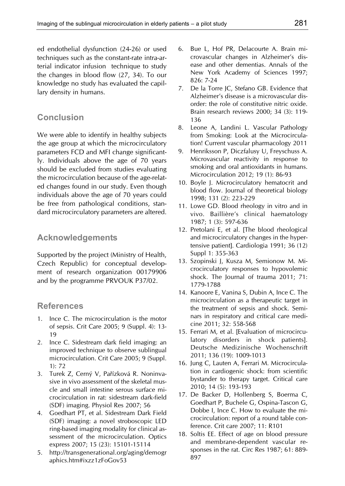ed endothelial dysfunction (24-26) or used techniques such as the constant-rate intra-arterial indicator infusion technique to study the changes in blood flow (27, 34). To our knowledge no study has evaluated the capillary density in humans.

## **Conclusion**

We were able to identify in healthy subjects the age group at which the microcirculatory parameters FCD and MFI change significantly. Individuals above the age of 70 years should be excluded from studies evaluating the microcirculation because of the age-related changes found in our study. Even though individuals above the age of 70 years could be free from pathological conditions, standard microcirculatory parameters are altered.

## **Acknowledgements**

Supported by the project (Ministry of Health, Czech Republic) for conceptual development of research organization 00179906 and by the programme PRVOUK P37/02.

## **References**

- 1. Ince C. The microcirculation is the motor of sepsis. Crit Care 2005; 9 (Suppl. 4): 13- 19
- 2. Ince C. Sidestream dark field imaging: an improved technique to observe sublingual microcirculation. Crit Care 2005; 9 (Suppl. 1): 72
- 3. Turek Z, Cerný V, Pařízková R. Noninvasive in vivo assessment of the skeletal muscle and small intestine serous surface microcirculation in rat: sidestream dark-field (SDF) imaging. Physiol Res 2007; 56
- 4. Goedhart PT, et al. Sidestream Dark Field (SDF) imaging: a novel stroboscopic LED ring-based imaging modality for clinical assessment of the microcirculation. Optics express 2007; 15 (23): 15101-15114
- 5. http://transgenerational.org/aging/demogr aphics.htm#ixzz1zFoGov53
- 6. Bue L, Hof PR, Delacourte A. Brain microvascular changes in Alzheimer's disease and other dementias. Annals of the New York Academy of Sciences 1997; 826: 7-24
- 7. De la Torre JC, Stefano GB. Evidence that Alzheimer's disease is a microvascular disorder: the role of constitutive nitric oxide. Brain research reviews 2000; 34 (3): 119- 136
- 8. Leone A, Landini L. Vascular Pathology from Smoking: Look at the Microcirculation! Current vascular pharmacology 2011
- 9. Henriksson P, Diczfalusy U, Freyschuss A. Microvascular reactivity in response to smoking and oral antioxidants in humans. Microcirculation 2012; 19 (1): 86-93
- 10. Boyle J. Microcirculatory hematocrit and blood flow. Journal of theoretical biology 1998; 131 (2): 223-229
- 11. Lowe GD. Blood rheology in vitro and in vivo. Baillière's clinical haematology 1987; 1 (3): 597-636
- 12. Pretolani E, et al. [The blood rheological and microcirculatory changes in the hypertensive patient]. Cardiologia 1991; 36 (12) Suppl 1: 355-363
- 13. Szopinski J, Kusza M, Semionow M. Microcirculatory responses to hypovolemic shock. The Journal of trauma 2011; 71: 1779-1788
- 14. Kanoore E, Vanina S, Dubin A, Ince C. The microcirculation as a therapeutic target in the treatment of sepsis and shock. Seminars in respiratory and critical care medicine 2011; 32: 558-568
- 15. Ferrari M, et al. [Evaluation of microcirculatory disorders in shock patients]. Deutsche Medizinische Wochenschrift 2011; 136 (19): 1009-1013
- 16. Jung C, Lauten A, Ferrari M. Microcirculation in cardiogenic shock: from scientific bystander to therapy target. Critical care 2010; 14 (5): 193-193
- 17. De Backer D, Hollenberg S, Boerma C, Goedhart P, Buchele G, Ospina-Tascon G, Dobbe I, Ince C. How to evaluate the microcirculation: report of a round table conference. Crit care 2007; 11: R101
- 18. Soltis EE. Effect of age on blood pressure and membrane-dependent vascular responses in the rat. Circ Res 1987; 61: 889- 897